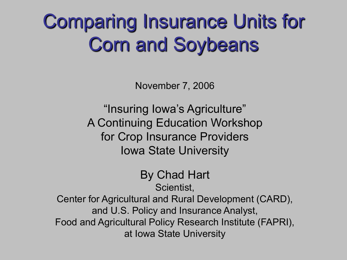### Comparing Insurance Units for Corn and Soybeans

November 7, 2006

"Insuring Iowa's Agriculture" A Continuing Education Workshop for Crop Insurance Providers Iowa State University

> By Chad Hart Scientist,

Center for Agricultural and Rural Development (CARD), and U.S. Policy and Insurance Analyst, Food and Agricultural Policy Research Institute (FAPRI), at Iowa State University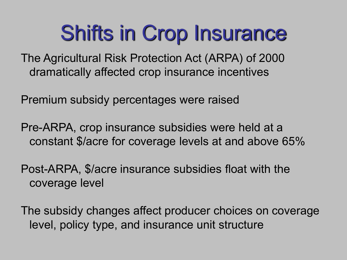# Shifts in Crop Insurance

The Agricultural Risk Protection Act (ARPA) of 2000 dramatically affected crop insurance incentives

Premium subsidy percentages were raised

Pre-ARPA, crop insurance subsidies were held at a constant \$/acre for coverage levels at and above 65%

Post-ARPA, \$/acre insurance subsidies float with the coverage level

The subsidy changes affect producer choices on coverage level, policy type, and insurance unit structure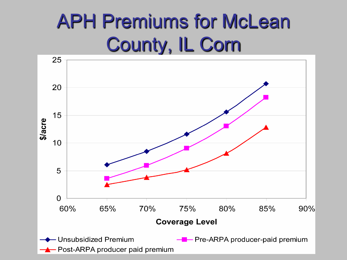### APH Premiums for McLean County, IL Corn

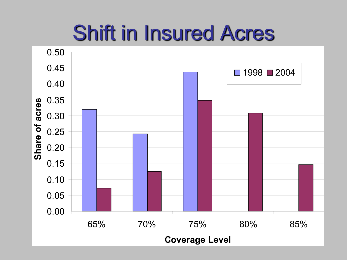# Shift in Insured Acres

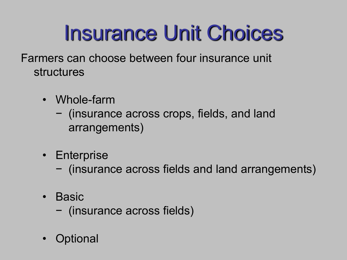# Insurance Unit Choices

- Farmers can choose between four insurance unit structures
	- Whole-farm
		- − (insurance across crops, fields, and land arrangements)
	- Enterprise
		- − (insurance across fields and land arrangements)
	- Basic
		- − (insurance across fields)
	- Optional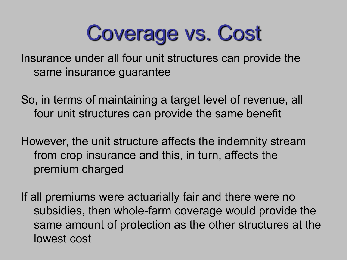# Coverage vs. Cost

Insurance under all four unit structures can provide the same insurance guarantee

So, in terms of maintaining a target level of revenue, all four unit structures can provide the same benefit

However, the unit structure affects the indemnity stream from crop insurance and this, in turn, affects the premium charged

If all premiums were actuarially fair and there were no subsidies, then whole-farm coverage would provide the same amount of protection as the other structures at the lowest cost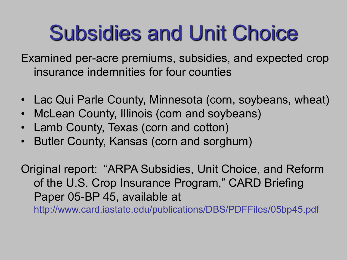# Subsidies and Unit Choice

Examined per-acre premiums, subsidies, and expected crop insurance indemnities for four counties

- Lac Qui Parle County, Minnesota (corn, soybeans, wheat)
- McLean County, Illinois (corn and soybeans)
- Lamb County, Texas (corn and cotton)
- Butler County, Kansas (corn and sorghum)

Original report: "ARPA Subsidies, Unit Choice, and Reform of the U.S. Crop Insurance Program," CARD Briefing Paper 05-BP 45, available at http://www.card.iastate.edu/publications/DBS/PDFFiles/05bp45.pdf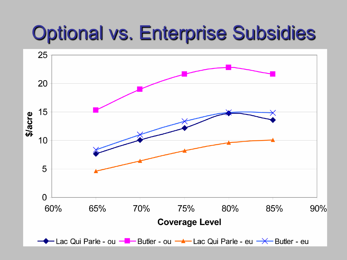#### Optional vs. Enterprise Subsidies

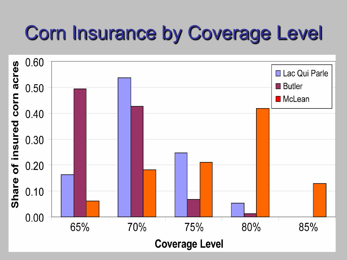### Corn Insurance by Coverage Level

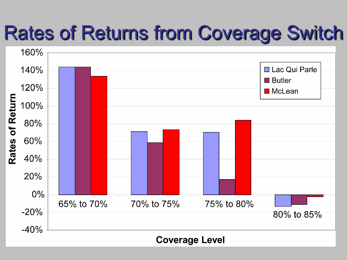#### Rates of Returns from Coverage Switch

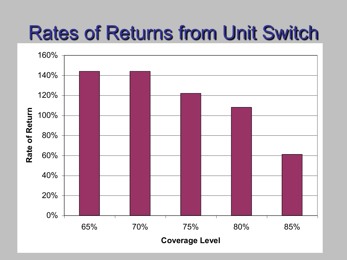#### Rates of Returns from Unit Switch

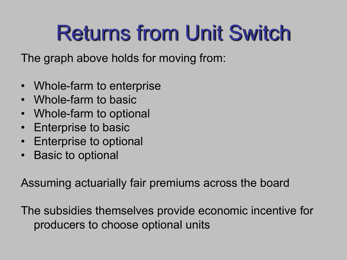# Returns from Unit Switch

The graph above holds for moving from:

- Whole-farm to enterprise
- Whole-farm to basic
- Whole-farm to optional
- Enterprise to basic
- Enterprise to optional
- Basic to optional

Assuming actuarially fair premiums across the board

The subsidies themselves provide economic incentive for producers to choose optional units